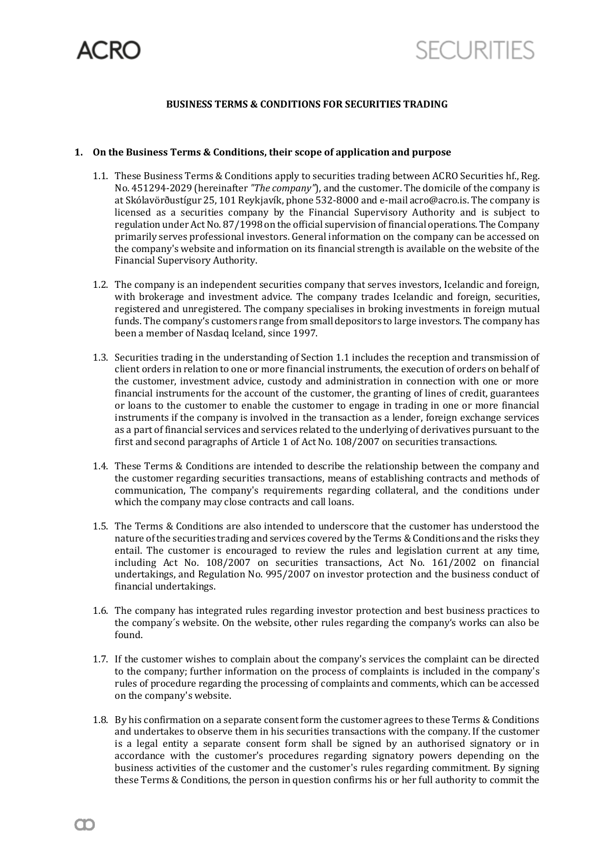

# **BUSINESS TERMS & CONDITIONS FOR SECURITIES TRADING**

# **1. On the Business Terms & Conditions, their scope of application and purpose**

- 1.1. These Business Terms & Conditions apply to securities trading between ACRO Securities hf., Reg. No. 451294-2029 (hereinafter *"The company"*), and the customer. The domicile of the company is at Skólavörðustígur 25, 101 Reykjavík, phone 532-8000 and e-mail acro@acro.is. The company is licensed as a securities company by the Financial Supervisory Authority and is subject to regulation under Act No. 87/1998 on the official supervision of financial operations. The Company primarily serves professional investors. General information on the company can be accessed on the company's website and information on its financial strength is available on the website of the Financial Supervisory Authority.
- 1.2. The company is an independent securities company that serves investors, Icelandic and foreign, with brokerage and investment advice. The company trades Icelandic and foreign, securities, registered and unregistered. The company specialises in broking investments in foreign mutual funds. The company's customers range from small depositors to large investors. The company has been a member of Nasdaq Iceland, since 1997.
- 1.3. Securities trading in the understanding of Section 1.1 includes the reception and transmission of client orders in relation to one or more financial instruments, the execution of orders on behalf of the customer, investment advice, custody and administration in connection with one or more financial instruments for the account of the customer, the granting of lines of credit, guarantees or loans to the customer to enable the customer to engage in trading in one or more financial instruments if the company is involved in the transaction as a lender, foreign exchange services as a part of financial services and services related to the underlying of derivatives pursuant to the first and second paragraphs of Article 1 of Act No. 108/2007 on securities transactions.
- 1.4. These Terms & Conditions are intended to describe the relationship between the company and the customer regarding securities transactions, means of establishing contracts and methods of communication, The company's requirements regarding collateral, and the conditions under which the company may close contracts and call loans.
- 1.5. The Terms & Conditions are also intended to underscore that the customer has understood the nature of the securities trading and services covered by the Terms &Conditions and the risks they entail. The customer is encouraged to review the rules and legislation current at any time, including Act No. 108/2007 on securities transactions, Act No. 161/2002 on financial undertakings, and Regulation No. 995/2007 on investor protection and the business conduct of financial undertakings.
- 1.6. The company has integrated rules regarding investor protection and best business practices to the company´s website. On the website, other rules regarding the company's works can also be found.
- 1.7. If the customer wishes to complain about the company's services the complaint can be directed to the company; further information on the process of complaints is included in the company's rules of procedure regarding the processing of complaints and comments, which can be accessed on the company's website.
- 1.8. By his confirmation on a separate consent form the customer agrees to these Terms & Conditions and undertakes to observe them in his securities transactions with the company. If the customer is a legal entity a separate consent form shall be signed by an authorised signatory or in accordance with the customer's procedures regarding signatory powers depending on the business activities of the customer and the customer's rules regarding commitment. By signing these Terms & Conditions, the person in question confirms his or her full authority to commit the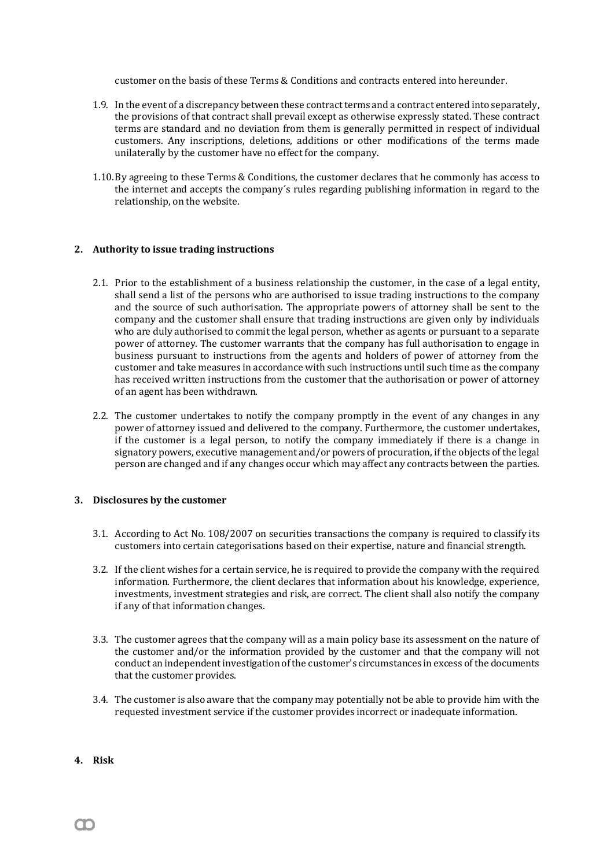customer on the basis of these Terms & Conditions and contracts entered into hereunder.

- 1.9. In the event of a discrepancy between these contract terms and a contract entered into separately, the provisions of that contract shall prevail except as otherwise expressly stated. These contract terms are standard and no deviation from them is generally permitted in respect of individual customers. Any inscriptions, deletions, additions or other modifications of the terms made unilaterally by the customer have no effect for the company.
- 1.10.By agreeing to these Terms & Conditions, the customer declares that he commonly has access to the internet and accepts the company´s rules regarding publishing information in regard to the relationship, on the website.

### **2. Authority to issue trading instructions**

- 2.1. Prior to the establishment of a business relationship the customer, in the case of a legal entity, shall send a list of the persons who are authorised to issue trading instructions to the company and the source of such authorisation. The appropriate powers of attorney shall be sent to the company and the customer shall ensure that trading instructions are given only by individuals who are duly authorised to commit the legal person, whether as agents or pursuant to a separate power of attorney. The customer warrants that the company has full authorisation to engage in business pursuant to instructions from the agents and holders of power of attorney from the customer and take measures in accordance with such instructions until such time as the company has received written instructions from the customer that the authorisation or power of attorney of an agent has been withdrawn.
- 2.2. The customer undertakes to notify the company promptly in the event of any changes in any power of attorney issued and delivered to the company. Furthermore, the customer undertakes, if the customer is a legal person, to notify the company immediately if there is a change in signatory powers, executive management and/or powers of procuration, if the objects of the legal person are changed and if any changes occur which may affect any contracts between the parties.

# **3. Disclosures by the customer**

- 3.1. According to Act No. 108/2007 on securities transactions the company is required to classify its customers into certain categorisations based on their expertise, nature and financial strength.
- 3.2. If the client wishes for a certain service, he is required to provide the company with the required information. Furthermore, the client declares that information about his knowledge, experience, investments, investment strategies and risk, are correct. The client shall also notify the company if any of that information changes.
- 3.3. The customer agrees that the company will as a main policy base its assessment on the nature of the customer and/or the information provided by the customer and that the company will not conduct an independent investigation of the customer's circumstances in excess of the documents that the customer provides.
- 3.4. The customer is also aware that the company may potentially not be able to provide him with the requested investment service if the customer provides incorrect or inadequate information.
- **4. Risk**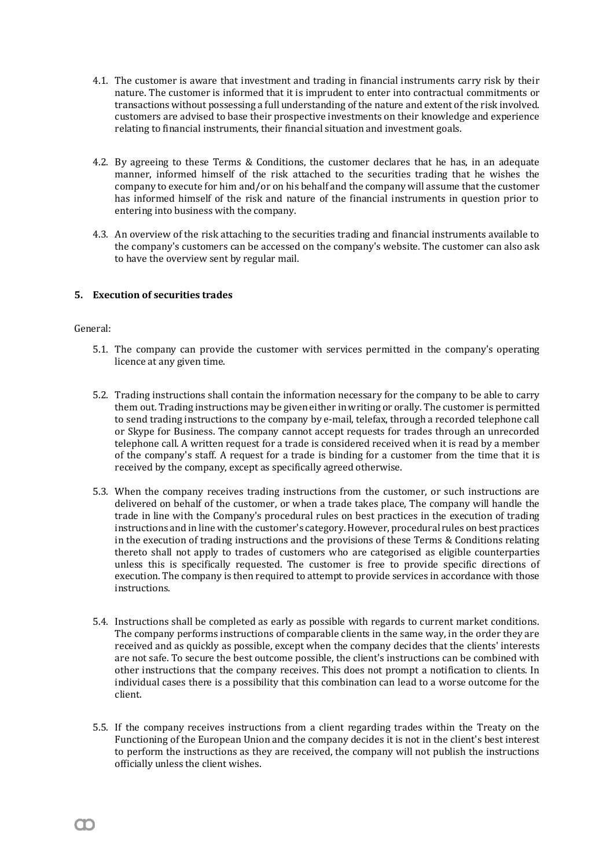- 4.1. The customer is aware that investment and trading in financial instruments carry risk by their nature. The customer is informed that it is imprudent to enter into contractual commitments or transactions without possessing a full understanding of the nature and extent of the risk involved. customers are advised to base their prospective investments on their knowledge and experience relating to financial instruments, their financial situation and investment goals.
- 4.2. By agreeing to these Terms & Conditions, the customer declares that he has, in an adequate manner, informed himself of the risk attached to the securities trading that he wishes the company to execute for him and/or on his behalf and the company will assume that the customer has informed himself of the risk and nature of the financial instruments in question prior to entering into business with the company.
- 4.3. An overview of the risk attaching to the securities trading and financial instruments available to the company's customers can be accessed on the company's website. The customer can also ask to have the overview sent by regular mail.

# **5. Execution of securities trades**

# General:

- 5.1. The company can provide the customer with services permitted in the company's operating licence at any given time.
- 5.2. Trading instructions shall contain the information necessary for the company to be able to carry them out. Trading instructions may be given either in writing or orally. The customer is permitted to send trading instructions to the company by e-mail, telefax, through a recorded telephone call or Skype for Business. The company cannot accept requests for trades through an unrecorded telephone call. A written request for a trade is considered received when it is read by a member of the company's staff. A request for a trade is binding for a customer from the time that it is received by the company, except as specifically agreed otherwise.
- 5.3. When the company receives trading instructions from the customer, or such instructions are delivered on behalf of the customer, or when a trade takes place, The company will handle the trade in line with the Company's procedural rules on best practices in the execution of trading instructions and in line with the customer's category. However, procedural rules on best practices in the execution of trading instructions and the provisions of these Terms & Conditions relating thereto shall not apply to trades of customers who are categorised as eligible counterparties unless this is specifically requested. The customer is free to provide specific directions of execution. The company is then required to attempt to provide services in accordance with those instructions.
- 5.4. Instructions shall be completed as early as possible with regards to current market conditions. The company performs instructions of comparable clients in the same way, in the order they are received and as quickly as possible, except when the company decides that the clients' interests are not safe. To secure the best outcome possible, the client's instructions can be combined with other instructions that the company receives. This does not prompt a notification to clients. In individual cases there is a possibility that this combination can lead to a worse outcome for the client.
- 5.5. If the company receives instructions from a client regarding trades within the Treaty on the Functioning of the European Union and the company decides it is not in the client's best interest to perform the instructions as they are received, the company will not publish the instructions officially unless the client wishes.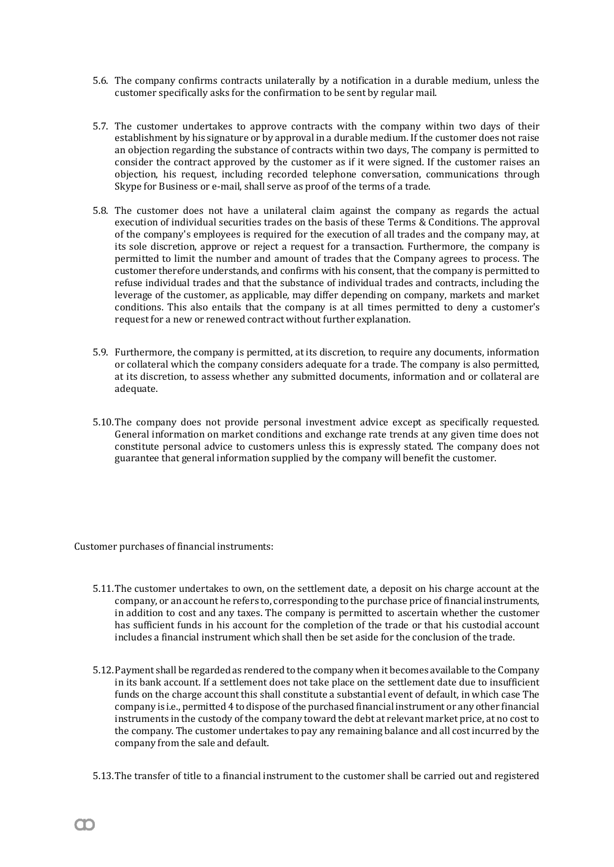- 5.6. The company confirms contracts unilaterally by a notification in a durable medium, unless the customer specifically asks for the confirmation to be sent by regular mail.
- 5.7. The customer undertakes to approve contracts with the company within two days of their establishment by his signature or by approval in a durable medium. If the customer does not raise an objection regarding the substance of contracts within two days, The company is permitted to consider the contract approved by the customer as if it were signed. If the customer raises an objection, his request, including recorded telephone conversation, communications through Skype for Business or e-mail, shall serve as proof of the terms of a trade.
- 5.8. The customer does not have a unilateral claim against the company as regards the actual execution of individual securities trades on the basis of these Terms & Conditions. The approval of the company's employees is required for the execution of all trades and the company may, at its sole discretion, approve or reject a request for a transaction. Furthermore, the company is permitted to limit the number and amount of trades that the Company agrees to process. The customer therefore understands, and confirms with his consent, that the company is permitted to refuse individual trades and that the substance of individual trades and contracts, including the leverage of the customer, as applicable, may differ depending on company, markets and market conditions. This also entails that the company is at all times permitted to deny a customer's request for a new or renewed contract without further explanation.
- 5.9. Furthermore, the company is permitted, at its discretion, to require any documents, information or collateral which the company considers adequate for a trade. The company is also permitted, at its discretion, to assess whether any submitted documents, information and or collateral are adequate.
- 5.10.The company does not provide personal investment advice except as specifically requested. General information on market conditions and exchange rate trends at any given time does not constitute personal advice to customers unless this is expressly stated. The company does not guarantee that general information supplied by the company will benefit the customer.

Customer purchases of financial instruments:

- 5.11.The customer undertakes to own, on the settlement date, a deposit on his charge account at the company, or an account he refers to, corresponding to the purchase price of financial instruments, in addition to cost and any taxes. The company is permitted to ascertain whether the customer has sufficient funds in his account for the completion of the trade or that his custodial account includes a financial instrument which shall then be set aside for the conclusion of the trade.
- 5.12.Payment shall be regarded as rendered to the company when it becomes available to the Company in its bank account. If a settlement does not take place on the settlement date due to insufficient funds on the charge account this shall constitute a substantial event of default, in which case The company is i.e., permitted 4 to dispose of the purchased financial instrument or any other financial instruments in the custody of the company toward the debt at relevant market price, at no cost to the company. The customer undertakes to pay any remaining balance and all cost incurred by the company from the sale and default.
- 5.13.The transfer of title to a financial instrument to the customer shall be carried out and registered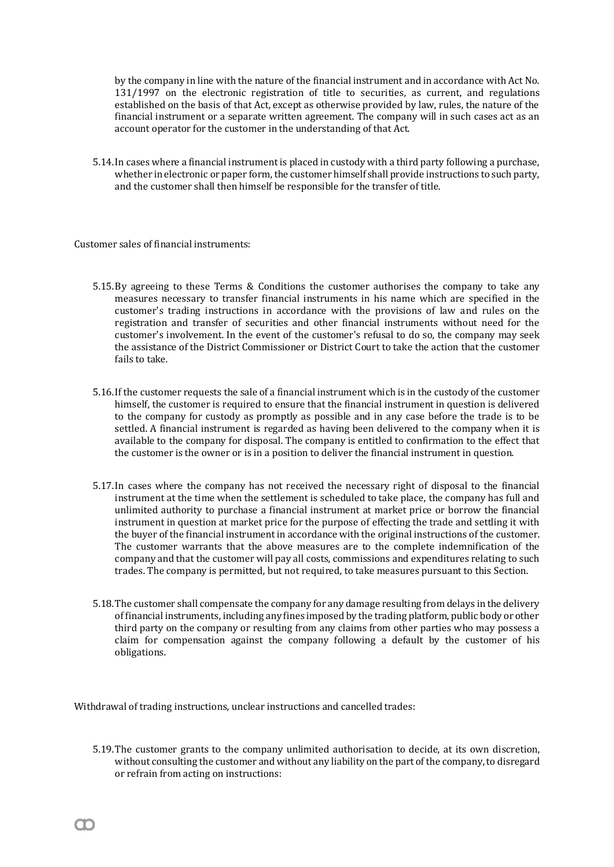by the company in line with the nature of the financial instrument and in accordance with Act No. 131/1997 on the electronic registration of title to securities, as current, and regulations established on the basis of that Act, except as otherwise provided by law, rules, the nature of the financial instrument or a separate written agreement. The company will in such cases act as an account operator for the customer in the understanding of that Act.

5.14.In cases where a financial instrument is placed in custody with a third party following a purchase, whether in electronic or paper form, the customer himself shall provide instructions to such party, and the customer shall then himself be responsible for the transfer of title.

Customer sales of financial instruments:

- 5.15.By agreeing to these Terms & Conditions the customer authorises the company to take any measures necessary to transfer financial instruments in his name which are specified in the customer's trading instructions in accordance with the provisions of law and rules on the registration and transfer of securities and other financial instruments without need for the customer's involvement. In the event of the customer's refusal to do so, the company may seek the assistance of the District Commissioner or District Court to take the action that the customer fails to take.
- 5.16.If the customer requests the sale of a financial instrument which is in the custody of the customer himself, the customer is required to ensure that the financial instrument in question is delivered to the company for custody as promptly as possible and in any case before the trade is to be settled. A financial instrument is regarded as having been delivered to the company when it is available to the company for disposal. The company is entitled to confirmation to the effect that the customer is the owner or is in a position to deliver the financial instrument in question.
- 5.17.In cases where the company has not received the necessary right of disposal to the financial instrument at the time when the settlement is scheduled to take place, the company has full and unlimited authority to purchase a financial instrument at market price or borrow the financial instrument in question at market price for the purpose of effecting the trade and settling it with the buyer of the financial instrument in accordance with the original instructions of the customer. The customer warrants that the above measures are to the complete indemnification of the company and that the customer will pay all costs, commissions and expenditures relating to such trades. The company is permitted, but not required, to take measures pursuant to this Section.
- 5.18.The customer shall compensate the company for any damage resulting from delays in the delivery of financial instruments, including any fines imposed by the trading platform, public body or other third party on the company or resulting from any claims from other parties who may possess a claim for compensation against the company following a default by the customer of his obligations.

Withdrawal of trading instructions, unclear instructions and cancelled trades:

5.19.The customer grants to the company unlimited authorisation to decide, at its own discretion, without consulting the customer and without any liability on the part of the company, to disregard or refrain from acting on instructions: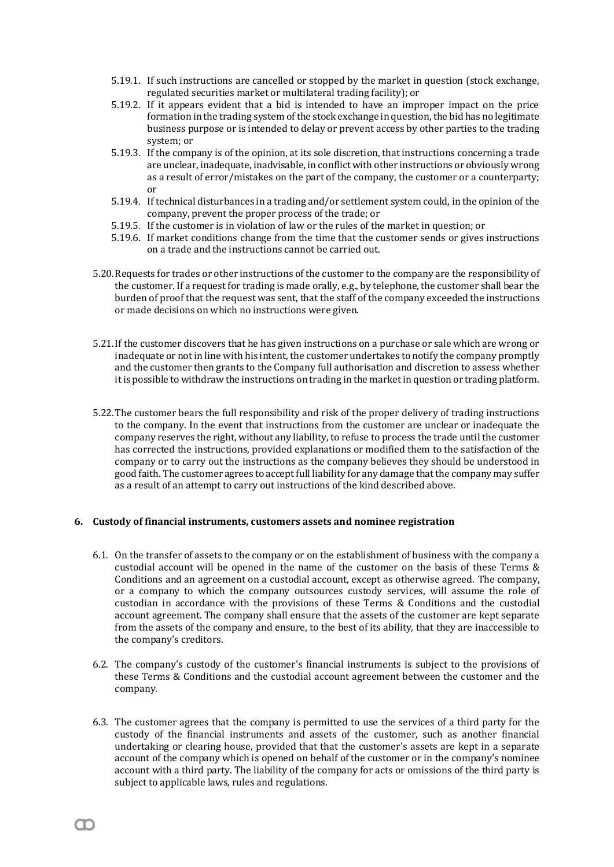- 5.19.1. If such instructions are cancelled or stopped by the market in question (stock exchange, regulated securities market or multilateral trading facility); or
- 5.19.2. If it appears evident that a bid is intended to have an improper impact on the price formation in the trading system of the stock exchange in question, the bid has no legitimate business purpose or is intended to delay or prevent access by other parties to the trading system; or
- 5.19.3. If the company is of the opinion, at its sole discretion, that instructions concerning a trade are unclear, inadequate, inadvisable, in conflict with other instructions or obviously wrong as a result of error/mistakes on the part of the company, the customer or a counterparty; or
- 5.19.4. If technical disturbances in a trading and/or settlement system could, in the opinion of the company, prevent the proper process of the trade; or
- 5.19.5. If the customer is in violation of law or the rules of the market in question; or
- 5.19.6. If market conditions change from the time that the customer sends or gives instructions on a trade and the instructions cannot be carried out.
- 5.20.Requests for trades or other instructions of the customer to the company are the responsibility of the customer. If a request for trading is made orally, e.g., by telephone, the customer shall bear the burden of proof that the request was sent, that the staff of the company exceeded the instructions or made decisions on which no instructions were given.
- 5.21.If the customer discovers that he has given instructions on a purchase or sale which are wrong or inadequate or not in line with his intent, the customer undertakes to notify the company promptly and the customer then grants to the Company full authorisation and discretion to assess whether it is possible to withdraw the instructions on trading in the market in question or trading platform.
- 5.22.The customer bears the full responsibility and risk of the proper delivery of trading instructions to the company. In the event that instructions from the customer are unclear or inadequate the company reserves the right, without any liability, to refuse to process the trade until the customer has corrected the instructions, provided explanations or modified them to the satisfaction of the company or to carry out the instructions as the company believes they should be understood in good faith. The customer agrees to acceptfull liability for any damage that the company may suffer as a result of an attempt to carry out instructions of the kind described above.

# **6. Custody of financial instruments, customers assets and nominee registration**

- 6.1. On the transfer of assets to the company or on the establishment of business with the company a custodial account will be opened in the name of the customer on the basis of these Terms & Conditions and an agreement on a custodial account, except as otherwise agreed. The company, or a company to which the company outsources custody services, will assume the role of custodian in accordance with the provisions of these Terms & Conditions and the custodial account agreement. The company shall ensure that the assets of the customer are kept separate from the assets of the company and ensure, to the best of its ability, that they are inaccessible to the company's creditors.
- 6.2. The company's custody of the customer's financial instruments is subject to the provisions of these Terms & Conditions and the custodial account agreement between the customer and the company.
- 6.3. The customer agrees that the company is permitted to use the services of a third party for the custody of the financial instruments and assets of the customer, such as another financial undertaking or clearing house, provided that that the customer's assets are kept in a separate account of the company which is opened on behalf of the customer or in the company's nominee account with a third party. The liability of the company for acts or omissions of the third party is subject to applicable laws, rules and regulations.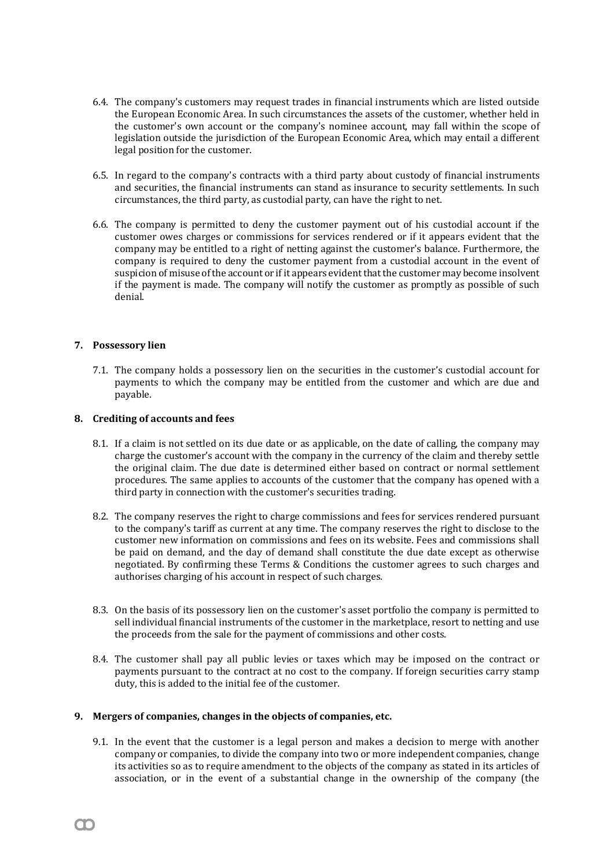- 6.4. The company's customers may request trades in financial instruments which are listed outside the European Economic Area. In such circumstances the assets of the customer, whether held in the customer's own account or the company's nominee account, may fall within the scope of legislation outside the jurisdiction of the European Economic Area, which may entail a different legal position for the customer.
- 6.5. In regard to the company's contracts with a third party about custody of financial instruments and securities, the financial instruments can stand as insurance to security settlements. In such circumstances, the third party, as custodial party, can have the right to net.
- 6.6. The company is permitted to deny the customer payment out of his custodial account if the customer owes charges or commissions for services rendered or if it appears evident that the company may be entitled to a right of netting against the customer's balance. Furthermore, the company is required to deny the customer payment from a custodial account in the event of suspicion of misuse of the account or if it appears evident that the customer may become insolvent if the payment is made. The company will notify the customer as promptly as possible of such denial.

# **7. Possessory lien**

7.1. The company holds a possessory lien on the securities in the customer's custodial account for payments to which the company may be entitled from the customer and which are due and payable.

### **8. Crediting of accounts and fees**

- 8.1. If a claim is not settled on its due date or as applicable, on the date of calling, the company may charge the customer's account with the company in the currency of the claim and thereby settle the original claim. The due date is determined either based on contract or normal settlement procedures. The same applies to accounts of the customer that the company has opened with a third party in connection with the customer's securities trading.
- 8.2. The company reserves the right to charge commissions and fees for services rendered pursuant to the company's tariff as current at any time. The company reserves the right to disclose to the customer new information on commissions and fees on its website. Fees and commissions shall be paid on demand, and the day of demand shall constitute the due date except as otherwise negotiated. By confirming these Terms & Conditions the customer agrees to such charges and authorises charging of his account in respect of such charges.
- 8.3. On the basis of its possessory lien on the customer's asset portfolio the company is permitted to sell individual financial instruments of the customer in the marketplace, resort to netting and use the proceeds from the sale for the payment of commissions and other costs.
- 8.4. The customer shall pay all public levies or taxes which may be imposed on the contract or payments pursuant to the contract at no cost to the company. If foreign securities carry stamp duty, this is added to the initial fee of the customer.

### **9. Mergers of companies, changes in the objects of companies, etc.**

9.1. In the event that the customer is a legal person and makes a decision to merge with another company or companies, to divide the company into two or more independent companies, change its activities so as to require amendment to the objects of the company as stated in its articles of association, or in the event of a substantial change in the ownership of the company (the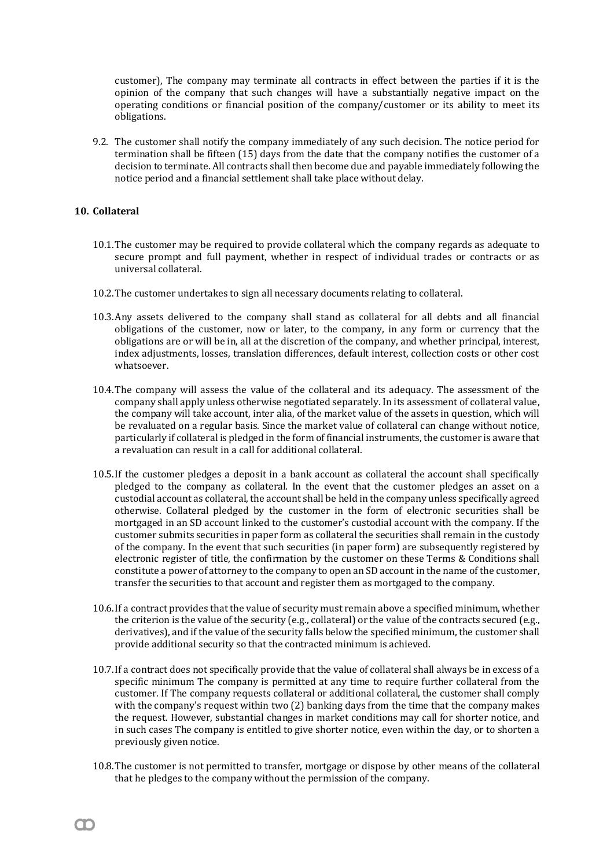customer), The company may terminate all contracts in effect between the parties if it is the opinion of the company that such changes will have a substantially negative impact on the operating conditions or financial position of the company/customer or its ability to meet its obligations.

9.2. The customer shall notify the company immediately of any such decision. The notice period for termination shall be fifteen (15) days from the date that the company notifies the customer of a decision to terminate. All contracts shall then become due and payable immediately following the notice period and a financial settlement shall take place without delay.

# **10. Collateral**

- 10.1.The customer may be required to provide collateral which the company regards as adequate to secure prompt and full payment, whether in respect of individual trades or contracts or as universal collateral.
- 10.2.The customer undertakes to sign all necessary documents relating to collateral.
- 10.3.Any assets delivered to the company shall stand as collateral for all debts and all financial obligations of the customer, now or later, to the company, in any form or currency that the obligations are or will be in, all at the discretion of the company, and whether principal, interest, index adjustments, losses, translation differences, default interest, collection costs or other cost whatsoever.
- 10.4.The company will assess the value of the collateral and its adequacy. The assessment of the company shall apply unless otherwise negotiated separately. In its assessment of collateral value, the company will take account, inter alia, of the market value of the assets in question, which will be revaluated on a regular basis. Since the market value of collateral can change without notice, particularly if collateral is pledged in the form of financial instruments, the customer is aware that a revaluation can result in a call for additional collateral.
- 10.5.If the customer pledges a deposit in a bank account as collateral the account shall specifically pledged to the company as collateral. In the event that the customer pledges an asset on a custodial account as collateral, the account shall be held in the company unless specifically agreed otherwise. Collateral pledged by the customer in the form of electronic securities shall be mortgaged in an SD account linked to the customer's custodial account with the company. If the customer submits securities in paper form as collateral the securities shall remain in the custody of the company. In the event that such securities (in paper form) are subsequently registered by electronic register of title, the confirmation by the customer on these Terms & Conditions shall constitute a power of attorney to the company to open an SD account in the name of the customer, transfer the securities to that account and register them as mortgaged to the company.
- 10.6.If a contract provides that the value of security must remain above a specified minimum, whether the criterion is the value of the security (e.g., collateral) or the value of the contracts secured (e.g., derivatives), and if the value of the security falls below the specified minimum, the customer shall provide additional security so that the contracted minimum is achieved.
- 10.7.If a contract does not specifically provide that the value of collateral shall always be in excess of a specific minimum The company is permitted at any time to require further collateral from the customer. If The company requests collateral or additional collateral, the customer shall comply with the company's request within two (2) banking days from the time that the company makes the request. However, substantial changes in market conditions may call for shorter notice, and in such cases The company is entitled to give shorter notice, even within the day, or to shorten a previously given notice.
- 10.8.The customer is not permitted to transfer, mortgage or dispose by other means of the collateral that he pledges to the company without the permission of the company.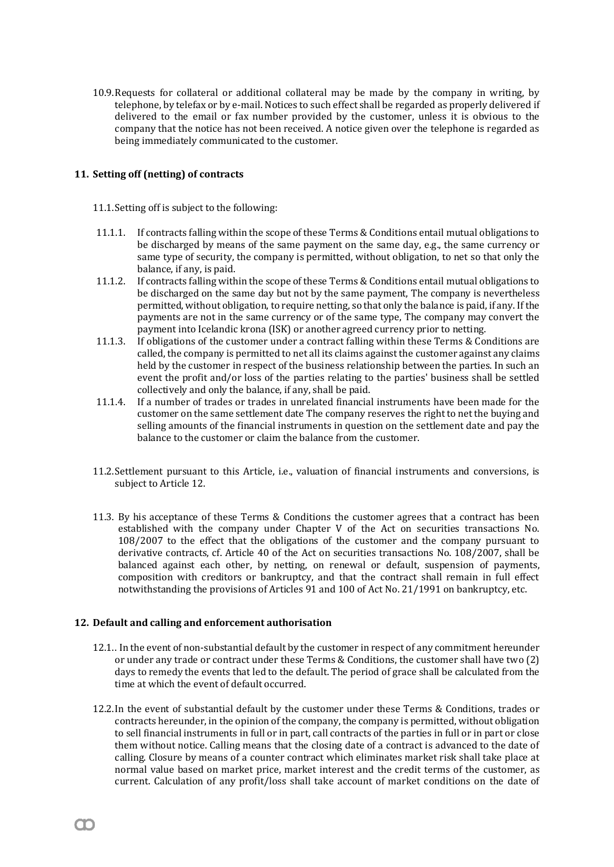10.9.Requests for collateral or additional collateral may be made by the company in writing, by telephone, by telefax or by e-mail. Notices to such effect shall be regarded as properly delivered if delivered to the email or fax number provided by the customer, unless it is obvious to the company that the notice has not been received. A notice given over the telephone is regarded as being immediately communicated to the customer.

# **11. Setting off (netting) of contracts**

11.1.Setting off is subject to the following:

- 11.1.1. If contracts falling within the scope of these Terms & Conditions entail mutual obligations to be discharged by means of the same payment on the same day, e.g., the same currency or same type of security, the company is permitted, without obligation, to net so that only the balance, if any, is paid.
- 11.1.2. If contracts falling within the scope of these Terms & Conditions entail mutual obligations to be discharged on the same day but not by the same payment, The company is nevertheless permitted, without obligation, to require netting, so that only the balance is paid, if any. If the payments are not in the same currency or of the same type, The company may convert the payment into Icelandic krona (ISK) or another agreed currency prior to netting.
- 11.1.3. If obligations of the customer under a contract falling within these Terms & Conditions are called, the company is permitted to net all its claims against the customer against any claims held by the customer in respect of the business relationship between the parties. In such an event the profit and/or loss of the parties relating to the parties' business shall be settled collectively and only the balance, if any, shall be paid.
- 11.1.4. If a number of trades or trades in unrelated financial instruments have been made for the customer on the same settlement date The company reserves the right to net the buying and selling amounts of the financial instruments in question on the settlement date and pay the balance to the customer or claim the balance from the customer.
- 11.2.Settlement pursuant to this Article, i.e., valuation of financial instruments and conversions, is subject to Article 12.
- 11.3. By his acceptance of these Terms & Conditions the customer agrees that a contract has been established with the company under Chapter V of the Act on securities transactions No. 108/2007 to the effect that the obligations of the customer and the company pursuant to derivative contracts, cf. Article 40 of the Act on securities transactions No. 108/2007, shall be balanced against each other, by netting, on renewal or default, suspension of payments, composition with creditors or bankruptcy, and that the contract shall remain in full effect notwithstanding the provisions of Articles 91 and 100 of Act No. 21/1991 on bankruptcy, etc.

# **12. Default and calling and enforcement authorisation**

- 12.1.. In the event of non-substantial default by the customer in respect of any commitment hereunder or under any trade or contract under these Terms & Conditions, the customer shall have two (2) days to remedy the events that led to the default. The period of grace shall be calculated from the time at which the event of default occurred.
- 12.2.In the event of substantial default by the customer under these Terms & Conditions, trades or contracts hereunder, in the opinion of the company, the company is permitted, without obligation to sell financial instruments in full or in part, call contracts of the parties in full or in part or close them without notice. Calling means that the closing date of a contract is advanced to the date of calling. Closure by means of a counter contract which eliminates market risk shall take place at normal value based on market price, market interest and the credit terms of the customer, as current. Calculation of any profit/loss shall take account of market conditions on the date of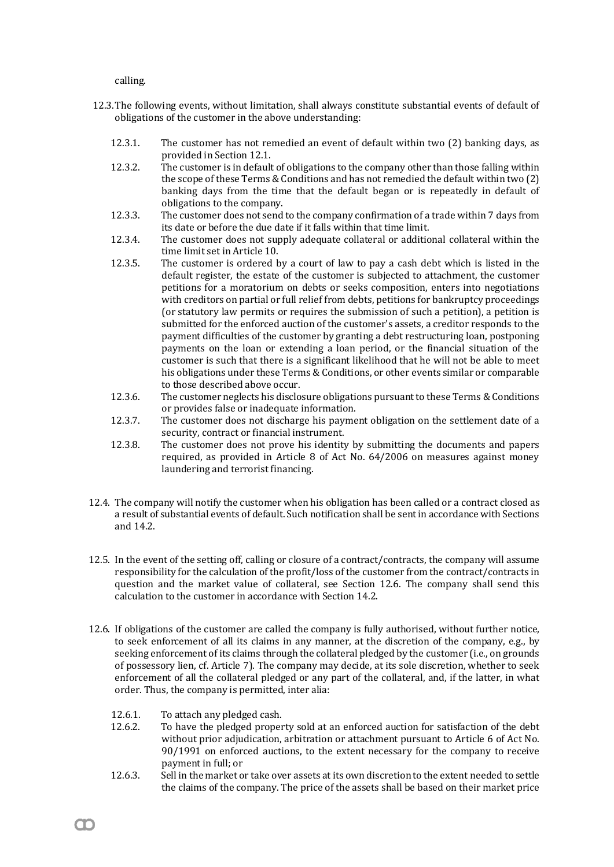calling.

- 12.3.The following events, without limitation, shall always constitute substantial events of default of obligations of the customer in the above understanding:
	- 12.3.1. The customer has not remedied an event of default within two (2) banking days, as provided in Section 12.1.
	- 12.3.2. The customer is in default of obligations to the company other than those falling within the scope of these Terms & Conditions and has not remedied the default within two (2) banking days from the time that the default began or is repeatedly in default of obligations to the company.
	- 12.3.3. The customer does not send to the company confirmation of a trade within 7 days from its date or before the due date if it falls within that time limit.
	- 12.3.4. The customer does not supply adequate collateral or additional collateral within the time limit set in Article 10.
	- 12.3.5. The customer is ordered by a court of law to pay a cash debt which is listed in the default register, the estate of the customer is subjected to attachment, the customer petitions for a moratorium on debts or seeks composition, enters into negotiations with creditors on partial or full relief from debts, petitions for bankruptcy proceedings (or statutory law permits or requires the submission of such a petition), a petition is submitted for the enforced auction of the customer's assets, a creditor responds to the payment difficulties of the customer by granting a debt restructuring loan, postponing payments on the loan or extending a loan period, or the financial situation of the customer is such that there is a significant likelihood that he will not be able to meet his obligations under these Terms & Conditions, or other events similar or comparable to those described above occur.
	- 12.3.6. The customer neglects his disclosure obligations pursuant to these Terms & Conditions or provides false or inadequate information.
	- 12.3.7. The customer does not discharge his payment obligation on the settlement date of a security, contract or financial instrument.
	- 12.3.8. The customer does not prove his identity by submitting the documents and papers required, as provided in Article 8 of Act No. 64/2006 on measures against money laundering and terrorist financing.
- 12.4. The company will notify the customer when his obligation has been called or a contract closed as a result of substantial events of default. Such notification shall be sent in accordance with Sections and 14.2.
- 12.5. In the event of the setting off, calling or closure of a contract/contracts, the company will assume responsibility for the calculation of the profit/loss of the customer from the contract/contracts in question and the market value of collateral, see Section 12.6. The company shall send this calculation to the customer in accordance with Section 14.2.
- 12.6. If obligations of the customer are called the company is fully authorised, without further notice, to seek enforcement of all its claims in any manner, at the discretion of the company, e.g., by seeking enforcement of its claims through the collateral pledged by the customer (i.e., on grounds of possessory lien, cf. Article 7). The company may decide, at its sole discretion, whether to seek enforcement of all the collateral pledged or any part of the collateral, and, if the latter, in what order. Thus, the company is permitted, inter alia:
	- 12.6.1. To attach any pledged cash.
	- 12.6.2. To have the pledged property sold at an enforced auction for satisfaction of the debt without prior adjudication, arbitration or attachment pursuant to Article 6 of Act No. 90/1991 on enforced auctions, to the extent necessary for the company to receive payment in full; or
	- 12.6.3. Sell in the market or take over assets at its own discretion to the extent needed to settle the claims of the company. The price of the assets shall be based on their market price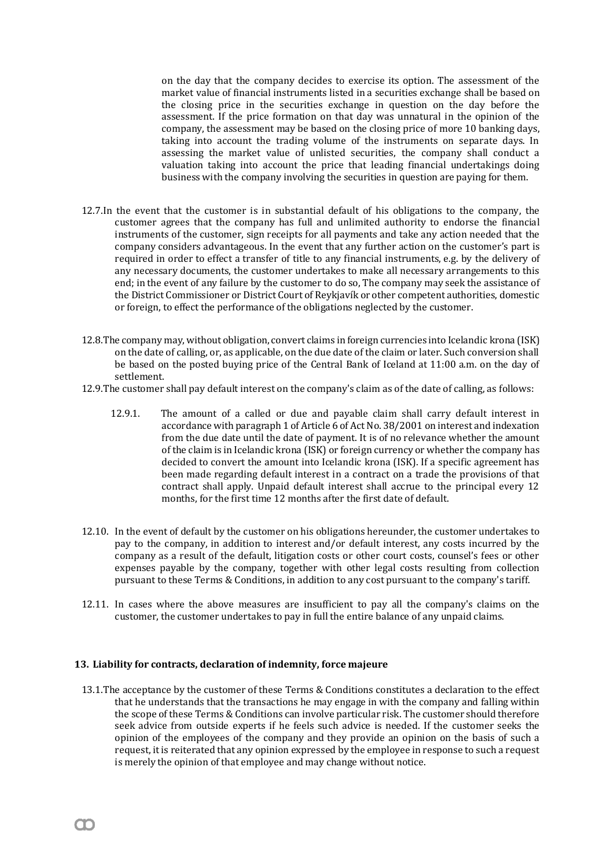on the day that the company decides to exercise its option. The assessment of the market value of financial instruments listed in a securities exchange shall be based on the closing price in the securities exchange in question on the day before the assessment. If the price formation on that day was unnatural in the opinion of the company, the assessment may be based on the closing price of more 10 banking days, taking into account the trading volume of the instruments on separate days. In assessing the market value of unlisted securities, the company shall conduct a valuation taking into account the price that leading financial undertakings doing business with the company involving the securities in question are paying for them.

- 12.7.In the event that the customer is in substantial default of his obligations to the company, the customer agrees that the company has full and unlimited authority to endorse the financial instruments of the customer, sign receipts for all payments and take any action needed that the company considers advantageous. In the event that any further action on the customer's part is required in order to effect a transfer of title to any financial instruments, e.g. by the delivery of any necessary documents, the customer undertakes to make all necessary arrangements to this end; in the event of any failure by the customer to do so, The company may seek the assistance of the District Commissioner or District Court of Reykjavík or other competent authorities, domestic or foreign, to effect the performance of the obligations neglected by the customer.
- 12.8.The company may, without obligation, convert claims in foreign currencies into Icelandic krona (ISK) on the date of calling, or, as applicable, on the due date of the claim or later. Such conversion shall be based on the posted buying price of the Central Bank of Iceland at 11:00 a.m. on the day of settlement.
- 12.9.The customer shall pay default interest on the company's claim as of the date of calling, as follows:
	- 12.9.1. The amount of a called or due and payable claim shall carry default interest in accordance with paragraph 1 of Article 6 of Act No. 38/2001 on interest and indexation from the due date until the date of payment. It is of no relevance whether the amount of the claim is in Icelandic krona (ISK) or foreign currency or whether the company has decided to convert the amount into Icelandic krona (ISK). If a specific agreement has been made regarding default interest in a contract on a trade the provisions of that contract shall apply. Unpaid default interest shall accrue to the principal every 12 months, for the first time 12 months after the first date of default.
- 12.10. In the event of default by the customer on his obligations hereunder, the customer undertakes to pay to the company, in addition to interest and/or default interest, any costs incurred by the company as a result of the default, litigation costs or other court costs, counsel's fees or other expenses payable by the company, together with other legal costs resulting from collection pursuant to these Terms & Conditions, in addition to any cost pursuant to the company's tariff.
- 12.11. In cases where the above measures are insufficient to pay all the company's claims on the customer, the customer undertakes to pay in full the entire balance of any unpaid claims.

### **13. Liability for contracts, declaration of indemnity, force majeure**

13.1.The acceptance by the customer of these Terms & Conditions constitutes a declaration to the effect that he understands that the transactions he may engage in with the company and falling within the scope of these Terms & Conditions can involve particular risk. The customer should therefore seek advice from outside experts if he feels such advice is needed. If the customer seeks the opinion of the employees of the company and they provide an opinion on the basis of such a request, it is reiterated that any opinion expressed by the employee in response to such a request is merely the opinion of that employee and may change without notice.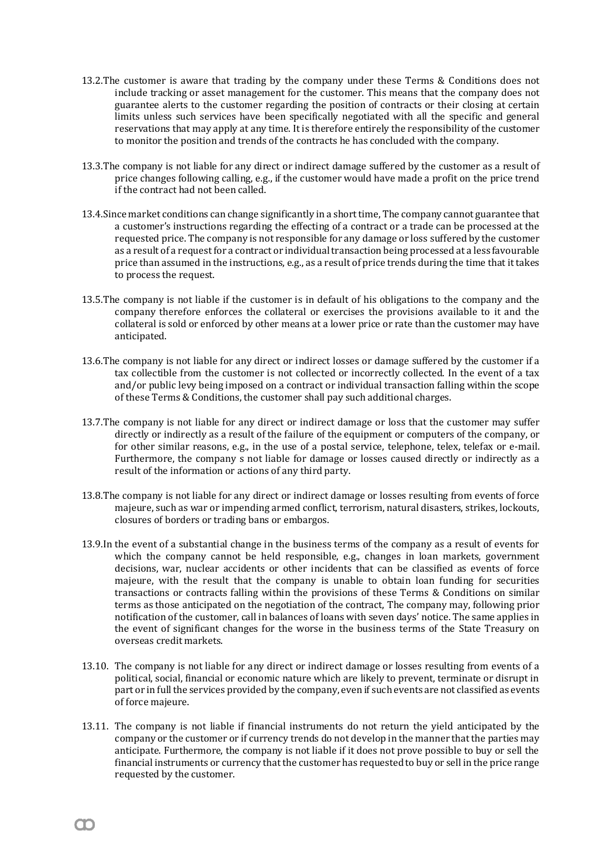- 13.2.The customer is aware that trading by the company under these Terms & Conditions does not include tracking or asset management for the customer. This means that the company does not guarantee alerts to the customer regarding the position of contracts or their closing at certain limits unless such services have been specifically negotiated with all the specific and general reservations that may apply at any time. It is therefore entirely the responsibility of the customer to monitor the position and trends of the contracts he has concluded with the company.
- 13.3.The company is not liable for any direct or indirect damage suffered by the customer as a result of price changes following calling, e.g., if the customer would have made a profit on the price trend if the contract had not been called.
- 13.4.Since market conditions can change significantly in a short time, The company cannot guarantee that a customer's instructions regarding the effecting of a contract or a trade can be processed at the requested price. The company is not responsible for any damage or loss suffered by the customer as a result of a request for a contract or individual transaction being processed at a less favourable price than assumed in the instructions, e.g., as a result of price trends during the time that it takes to process the request.
- 13.5.The company is not liable if the customer is in default of his obligations to the company and the company therefore enforces the collateral or exercises the provisions available to it and the collateral is sold or enforced by other means at a lower price or rate than the customer may have anticipated.
- 13.6.The company is not liable for any direct or indirect losses or damage suffered by the customer if a tax collectible from the customer is not collected or incorrectly collected. In the event of a tax and/or public levy being imposed on a contract or individual transaction falling within the scope of these Terms & Conditions, the customer shall pay such additional charges.
- 13.7.The company is not liable for any direct or indirect damage or loss that the customer may suffer directly or indirectly as a result of the failure of the equipment or computers of the company, or for other similar reasons, e.g., in the use of a postal service, telephone, telex, telefax or e-mail. Furthermore, the company s not liable for damage or losses caused directly or indirectly as a result of the information or actions of any third party.
- 13.8.The company is not liable for any direct or indirect damage or losses resulting from events of force majeure, such as war or impending armed conflict, terrorism, natural disasters, strikes, lockouts, closures of borders or trading bans or embargos.
- 13.9.In the event of a substantial change in the business terms of the company as a result of events for which the company cannot be held responsible, e.g., changes in loan markets, government decisions, war, nuclear accidents or other incidents that can be classified as events of force majeure, with the result that the company is unable to obtain loan funding for securities transactions or contracts falling within the provisions of these Terms & Conditions on similar terms as those anticipated on the negotiation of the contract, The company may, following prior notification of the customer, call in balances of loans with seven days' notice. The same applies in the event of significant changes for the worse in the business terms of the State Treasury on overseas credit markets.
- 13.10. The company is not liable for any direct or indirect damage or losses resulting from events of a political, social, financial or economic nature which are likely to prevent, terminate or disrupt in part or in full the services provided by the company, even if such events are not classified as events of force majeure.
- 13.11. The company is not liable if financial instruments do not return the yield anticipated by the company or the customer or if currency trends do not develop in the manner that the parties may anticipate. Furthermore, the company is not liable if it does not prove possible to buy or sell the financial instruments or currency that the customer has requested to buy or sell in the price range requested by the customer.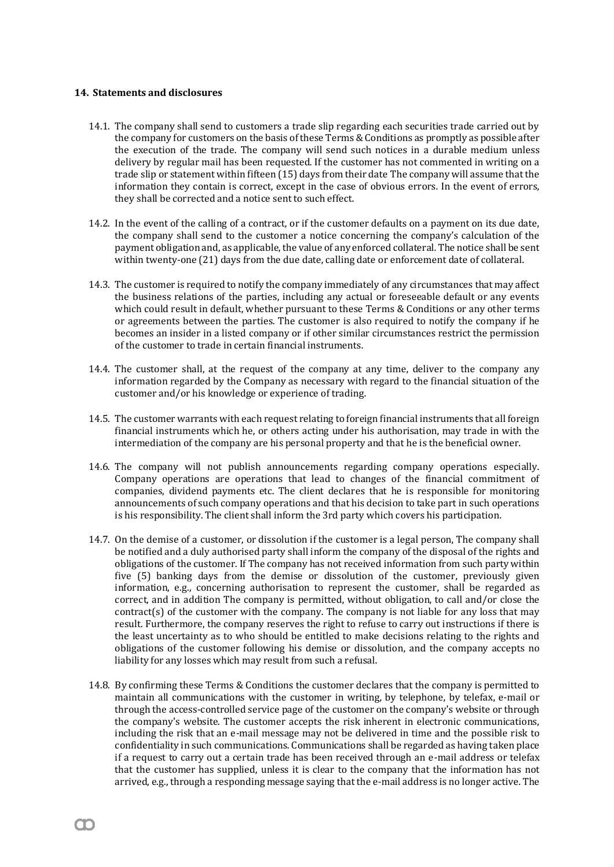### **14. Statements and disclosures**

- 14.1. The company shall send to customers a trade slip regarding each securities trade carried out by the company for customers on the basis of these Terms  $&$  Conditions as promptly as possible after the execution of the trade. The company will send such notices in a durable medium unless delivery by regular mail has been requested. If the customer has not commented in writing on a trade slip or statement within fifteen (15) days from their date The company will assume that the information they contain is correct, except in the case of obvious errors. In the event of errors, they shall be corrected and a notice sent to such effect.
- 14.2. In the event of the calling of a contract, or if the customer defaults on a payment on its due date, the company shall send to the customer a notice concerning the company's calculation of the payment obligation and, as applicable, the value of any enforced collateral. The notice shall be sent within twenty-one (21) days from the due date, calling date or enforcement date of collateral.
- 14.3. The customer is required to notify the company immediately of any circumstances that may affect the business relations of the parties, including any actual or foreseeable default or any events which could result in default, whether pursuant to these Terms & Conditions or any other terms or agreements between the parties. The customer is also required to notify the company if he becomes an insider in a listed company or if other similar circumstances restrict the permission of the customer to trade in certain financial instruments.
- 14.4. The customer shall, at the request of the company at any time, deliver to the company any information regarded by the Company as necessary with regard to the financial situation of the customer and/or his knowledge or experience of trading.
- 14.5. The customer warrants with each request relating to foreign financial instruments that all foreign financial instruments which he, or others acting under his authorisation, may trade in with the intermediation of the company are his personal property and that he is the beneficial owner.
- 14.6. The company will not publish announcements regarding company operations especially. Company operations are operations that lead to changes of the financial commitment of companies, dividend payments etc. The client declares that he is responsible for monitoring announcements of such company operations and that his decision to take part in such operations is his responsibility. The client shall inform the 3rd party which covers his participation.
- 14.7. On the demise of a customer, or dissolution if the customer is a legal person, The company shall be notified and a duly authorised party shall inform the company of the disposal of the rights and obligations of the customer. If The company has not received information from such party within five (5) banking days from the demise or dissolution of the customer, previously given information, e.g., concerning authorisation to represent the customer, shall be regarded as correct, and in addition The company is permitted, without obligation, to call and/or close the contract(s) of the customer with the company. The company is not liable for any loss that may result. Furthermore, the company reserves the right to refuse to carry out instructions if there is the least uncertainty as to who should be entitled to make decisions relating to the rights and obligations of the customer following his demise or dissolution, and the company accepts no liability for any losses which may result from such a refusal.
- 14.8. By confirming these Terms & Conditions the customer declares that the company is permitted to maintain all communications with the customer in writing, by telephone, by telefax, e-mail or through the access-controlled service page of the customer on the company's website or through the company's website. The customer accepts the risk inherent in electronic communications, including the risk that an e-mail message may not be delivered in time and the possible risk to confidentiality in such communications. Communications shall be regarded as having taken place if a request to carry out a certain trade has been received through an e-mail address or telefax that the customer has supplied, unless it is clear to the company that the information has not arrived, e.g., through a responding message saying that the e-mail address is no longer active. The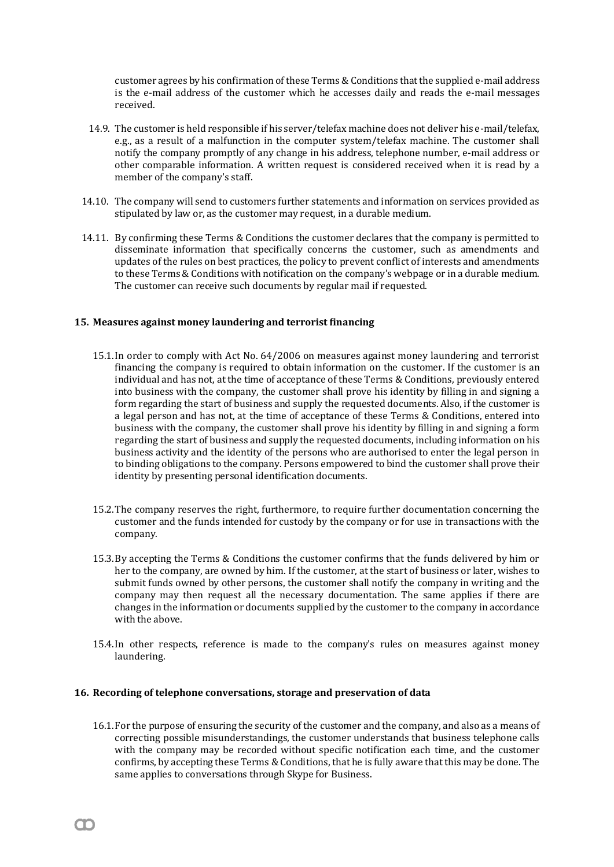customer agrees by his confirmation of these Terms &Conditions that the supplied e-mail address is the e-mail address of the customer which he accesses daily and reads the e-mail messages received.

- 14.9. The customer is held responsible if his server/telefax machine does not deliver his e-mail/telefax, e.g., as a result of a malfunction in the computer system/telefax machine. The customer shall notify the company promptly of any change in his address, telephone number, e-mail address or other comparable information. A written request is considered received when it is read by a member of the company's staff.
- 14.10. The company will send to customers further statements and information on services provided as stipulated by law or, as the customer may request, in a durable medium.
- 14.11. By confirming these Terms & Conditions the customer declares that the company is permitted to disseminate information that specifically concerns the customer, such as amendments and updates of the rules on best practices, the policy to prevent conflict of interests and amendments to these Terms & Conditions with notification on the company's webpage or in a durable medium. The customer can receive such documents by regular mail if requested.

# **15. Measures against money laundering and terrorist financing**

- 15.1.In order to comply with Act No. 64/2006 on measures against money laundering and terrorist financing the company is required to obtain information on the customer. If the customer is an individual and has not, at the time of acceptance of these Terms & Conditions, previously entered into business with the company, the customer shall prove his identity by filling in and signing a form regarding the start of business and supply the requested documents. Also, if the customer is a legal person and has not, at the time of acceptance of these Terms & Conditions, entered into business with the company, the customer shall prove his identity by filling in and signing a form regarding the start of business and supply the requested documents, including information on his business activity and the identity of the persons who are authorised to enter the legal person in to binding obligations to the company. Persons empowered to bind the customer shall prove their identity by presenting personal identification documents.
- 15.2.The company reserves the right, furthermore, to require further documentation concerning the customer and the funds intended for custody by the company or for use in transactions with the company.
- 15.3.By accepting the Terms & Conditions the customer confirms that the funds delivered by him or her to the company, are owned by him. If the customer, at the start of business or later, wishes to submit funds owned by other persons, the customer shall notify the company in writing and the company may then request all the necessary documentation. The same applies if there are changes in the information or documents supplied by the customer to the company in accordance with the above.
- 15.4.In other respects, reference is made to the company's rules on measures against money laundering.

#### **16. Recording of telephone conversations, storage and preservation of data**

16.1.For the purpose of ensuring the security of the customer and the company, and also as a means of correcting possible misunderstandings, the customer understands that business telephone calls with the company may be recorded without specific notification each time, and the customer confirms, by accepting these Terms &Conditions, that he is fully aware that this may be done. The same applies to conversations through Skype for Business.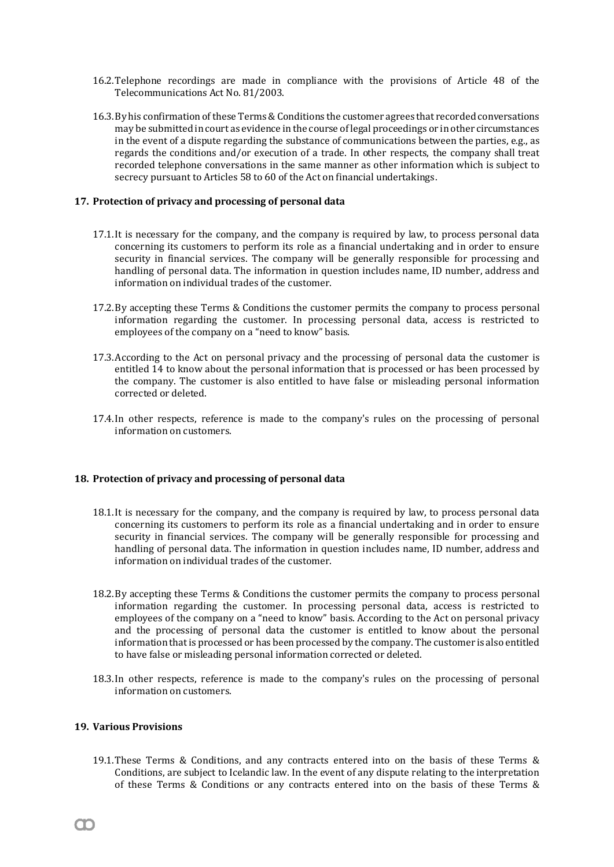- 16.2.Telephone recordings are made in compliance with the provisions of Article 48 of the Telecommunications Act No. 81/2003.
- 16.3. By his confirmation of these Terms & Conditions the customer agrees that recorded conversations may be submitted in court as evidence in the course of legal proceedings or in other circumstances in the event of a dispute regarding the substance of communications between the parties, e.g., as regards the conditions and/or execution of a trade. In other respects, the company shall treat recorded telephone conversations in the same manner as other information which is subject to secrecy pursuant to Articles 58 to 60 of the Act on financial undertakings.

### **17. Protection of privacy and processing of personal data**

- 17.1.It is necessary for the company, and the company is required by law, to process personal data concerning its customers to perform its role as a financial undertaking and in order to ensure security in financial services. The company will be generally responsible for processing and handling of personal data. The information in question includes name, ID number, address and information on individual trades of the customer.
- 17.2.By accepting these Terms & Conditions the customer permits the company to process personal information regarding the customer. In processing personal data, access is restricted to employees of the company on a "need to know" basis.
- 17.3.According to the Act on personal privacy and the processing of personal data the customer is entitled 14 to know about the personal information that is processed or has been processed by the company. The customer is also entitled to have false or misleading personal information corrected or deleted.
- 17.4.In other respects, reference is made to the company's rules on the processing of personal information on customers.

### **18. Protection of privacy and processing of personal data**

- 18.1.It is necessary for the company, and the company is required by law, to process personal data concerning its customers to perform its role as a financial undertaking and in order to ensure security in financial services. The company will be generally responsible for processing and handling of personal data. The information in question includes name, ID number, address and information on individual trades of the customer.
- 18.2.By accepting these Terms & Conditions the customer permits the company to process personal information regarding the customer. In processing personal data, access is restricted to employees of the company on a "need to know" basis. According to the Act on personal privacy and the processing of personal data the customer is entitled to know about the personal information that is processed or has been processed by the company. The customer is also entitled to have false or misleading personal information corrected or deleted.
- 18.3.In other respects, reference is made to the company's rules on the processing of personal information on customers.

### **19. Various Provisions**

19.1.These Terms & Conditions, and any contracts entered into on the basis of these Terms & Conditions, are subject to Icelandic law. In the event of any dispute relating to the interpretation of these Terms & Conditions or any contracts entered into on the basis of these Terms &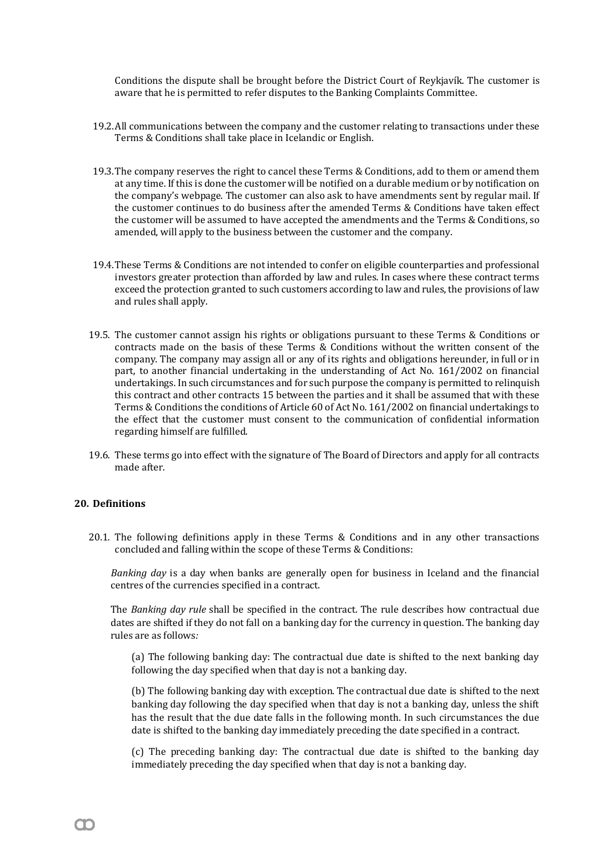Conditions the dispute shall be brought before the District Court of Reykjavík. The customer is aware that he is permitted to refer disputes to the Banking Complaints Committee.

- 19.2.All communications between the company and the customer relating to transactions under these Terms & Conditions shall take place in Icelandic or English.
- 19.3.The company reserves the right to cancel these Terms & Conditions, add to them or amend them at any time. If this is done the customer will be notified on a durable medium or by notification on the company's webpage. The customer can also ask to have amendments sent by regular mail. If the customer continues to do business after the amended Terms & Conditions have taken effect the customer will be assumed to have accepted the amendments and the Terms & Conditions, so amended, will apply to the business between the customer and the company.
- 19.4.These Terms & Conditions are not intended to confer on eligible counterparties and professional investors greater protection than afforded by law and rules. In cases where these contract terms exceed the protection granted to such customers according to law and rules, the provisions of law and rules shall apply.
- 19.5. The customer cannot assign his rights or obligations pursuant to these Terms & Conditions or contracts made on the basis of these Terms & Conditions without the written consent of the company. The company may assign all or any of its rights and obligations hereunder, in full or in part, to another financial undertaking in the understanding of Act No. 161/2002 on financial undertakings. In such circumstances and for such purpose the company is permitted to relinquish this contract and other contracts 15 between the parties and it shall be assumed that with these Terms & Conditions the conditions of Article 60 of Act No. 161/2002 on financial undertakings to the effect that the customer must consent to the communication of confidential information regarding himself are fulfilled.
- 19.6. These terms go into effect with the signature of The Board of Directors and apply for all contracts made after.

# **20. Definitions**

20.1. The following definitions apply in these Terms & Conditions and in any other transactions concluded and falling within the scope of these Terms & Conditions:

*Banking day* is a day when banks are generally open for business in Iceland and the financial centres of the currencies specified in a contract.

The *Banking day rule* shall be specified in the contract. The rule describes how contractual due dates are shifted if they do not fall on a banking day for the currency in question. The banking day rules are as follows*:* 

(a) The following banking day: The contractual due date is shifted to the next banking day following the day specified when that day is not a banking day.

(b) The following banking day with exception. The contractual due date is shifted to the next banking day following the day specified when that day is not a banking day, unless the shift has the result that the due date falls in the following month. In such circumstances the due date is shifted to the banking day immediately preceding the date specified in a contract.

(c) The preceding banking day: The contractual due date is shifted to the banking day immediately preceding the day specified when that day is not a banking day.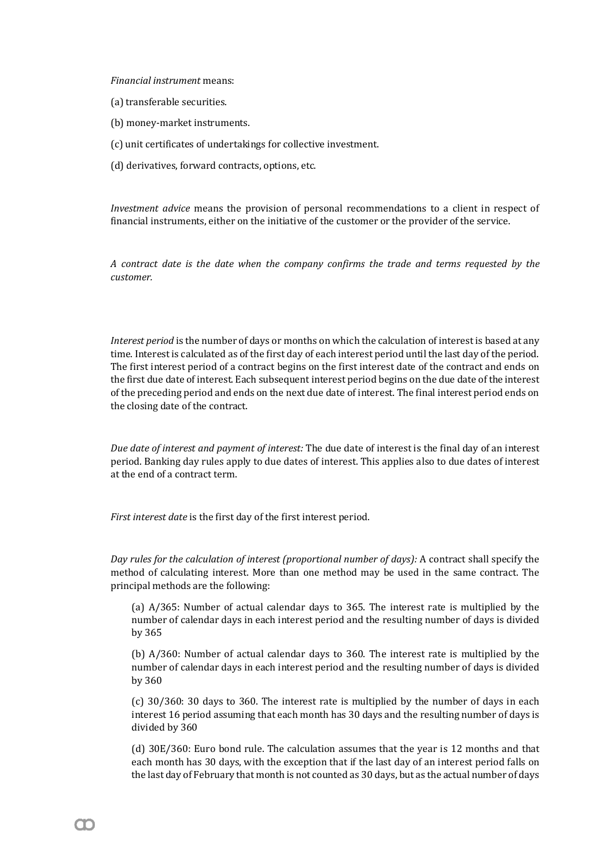*Financial instrument* means:

- (a) transferable securities.
- (b) money-market instruments.
- (c) unit certificates of undertakings for collective investment.
- (d) derivatives, forward contracts, options, etc.

*Investment advice* means the provision of personal recommendations to a client in respect of financial instruments, either on the initiative of the customer or the provider of the service.

*A contract date is the date when the company confirms the trade and terms requested by the customer.*

*Interest period* is the number of days or months on which the calculation of interest is based at any time. Interest is calculated as of the first day of each interest period until the last day of the period. The first interest period of a contract begins on the first interest date of the contract and ends on the first due date of interest. Each subsequent interest period begins on the due date of the interest of the preceding period and ends on the next due date of interest. The final interest period ends on the closing date of the contract.

*Due date of interest and payment of interest:* The due date of interest is the final day of an interest period. Banking day rules apply to due dates of interest. This applies also to due dates of interest at the end of a contract term.

*First interest date* is the first day of the first interest period.

*Day rules for the calculation of interest (proportional number of days):* A contract shall specify the method of calculating interest. More than one method may be used in the same contract. The principal methods are the following:

(a) A/365: Number of actual calendar days to 365. The interest rate is multiplied by the number of calendar days in each interest period and the resulting number of days is divided by 365

(b) A/360: Number of actual calendar days to 360. The interest rate is multiplied by the number of calendar days in each interest period and the resulting number of days is divided by 360

(c) 30/360: 30 days to 360. The interest rate is multiplied by the number of days in each interest 16 period assuming that each month has 30 days and the resulting number of days is divided by 360

(d) 30E/360: Euro bond rule. The calculation assumes that the year is 12 months and that each month has 30 days, with the exception that if the last day of an interest period falls on the last day of February that month is not counted as 30 days, but as the actual number of days